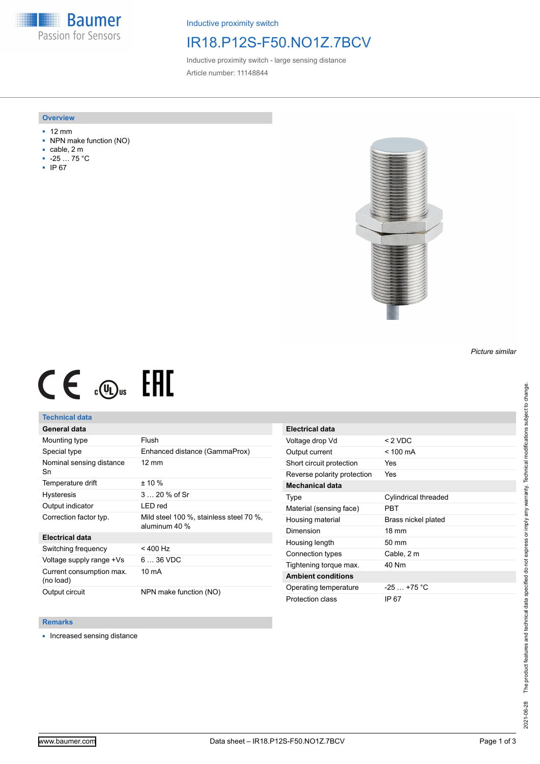**Baumer** Passion for Sensors

Inductive proximity switch

## IR18.P12S-F50.NO1Z.7BCV

Inductive proximity switch - large sensing distance Article number: 11148844

### **Overview**

- 12 mm
- NPN make function (NO)
- cable, 2 m
- -25 … 75 °C
- IP 67



# $CE \mathcal{L}$  (Dus FHI

## **Technical data**

## **General data**

| Mounting type                         | Flush                                                    |
|---------------------------------------|----------------------------------------------------------|
| Special type                          | Enhanced distance (GammaProx)                            |
| Nominal sensing distance<br>Sn        | $12 \text{ mm}$                                          |
| Temperature drift                     | $± 10 \%$                                                |
| <b>Hysteresis</b>                     | 3  20 % of Sr                                            |
| Output indicator                      | LED red                                                  |
| Correction factor typ.                | Mild steel 100 %, stainless steel 70 %,<br>aluminum 40 % |
| Electrical data                       |                                                          |
| Switching frequency                   | $< 400$ Hz                                               |
| Voltage supply range +Vs              | $636$ VDC                                                |
| Current consumption max.<br>(no load) | 10 mA                                                    |
| Output circuit                        | NPN make function (NO)                                   |

| <b>Electrical data</b>      |                      |
|-----------------------------|----------------------|
| Voltage drop Vd             | $< 2$ VDC            |
| Output current              | $<$ 100 mA           |
| Short circuit protection    | Yes                  |
| Reverse polarity protection | Yes                  |
| <b>Mechanical data</b>      |                      |
| Type                        | Cylindrical threaded |
| Material (sensing face)     | PRT                  |
| Housing material            | Brass nickel plated  |
| Dimension                   | $18 \text{ mm}$      |
| Housing length              | $50 \text{ mm}$      |
| Connection types            | Cable, 2 m           |
| Tightening torque max.      | 40 Nm                |
| <b>Ambient conditions</b>   |                      |
| Operating temperature       | $-25 - +75$ °C       |
| Protection class            | IP 67                |

### **Remarks**

■ Increased sensing distance

*Picture similar*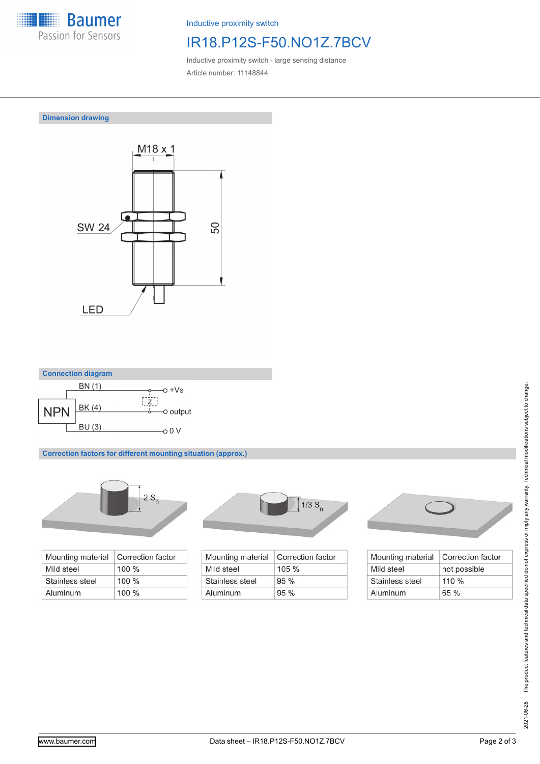

Inductive proximity switch

# IR18.P12S-F50.NO1Z.7BCV

Inductive proximity switch - large sensing distance Article number: 11148844

**Dimension drawing**





**Correction factors for different mounting situation (approx.)**



| Mounting material | Correction factor |
|-------------------|-------------------|
| Mild steel        | $100 \%$          |
| Stainless steel   | $100 \%$          |
| Aluminum          | $100\%$           |



| Mounting material | Correction factor |
|-------------------|-------------------|
| Mild steel        | $105 \%$          |
| Stainless steel   | $95\%$            |
| Aluminum          | 95%               |



| Mounting material | Correction factor |
|-------------------|-------------------|
| Mild steel        | not possible      |
| Stainless steel   | 110%              |
| Aluminum          | 65%               |